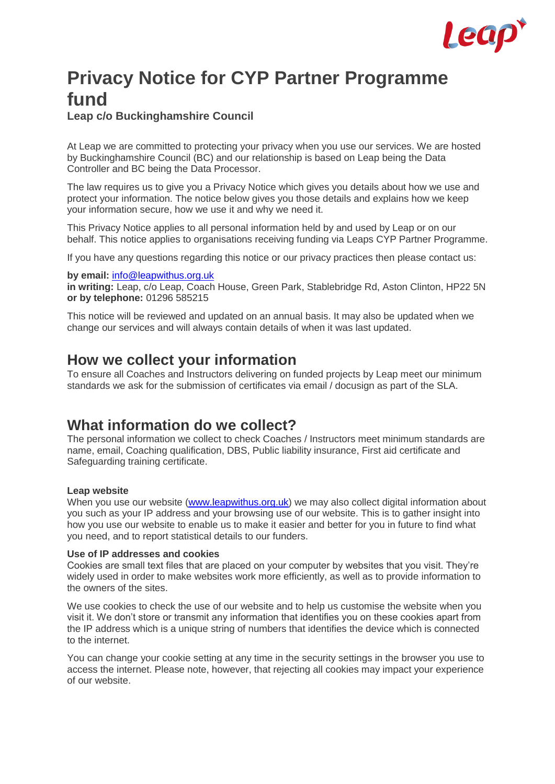

# **Privacy Notice for CYP Partner Programme fund**

**Leap c/o Buckinghamshire Council**

At Leap we are committed to protecting your privacy when you use our services. We are hosted by Buckinghamshire Council (BC) and our relationship is based on Leap being the Data Controller and BC being the Data Processor.

The law requires us to give you a Privacy Notice which gives you details about how we use and protect your information. The notice below gives you those details and explains how we keep your information secure, how we use it and why we need it.

This Privacy Notice applies to all personal information held by and used by Leap or on our behalf. This notice applies to organisations receiving funding via Leaps CYP Partner Programme.

If you have any questions regarding this notice or our privacy practices then please contact us:

#### **by email:** [info@leapwithus.org.uk](mailto:info@leapwithus.org.uk)

**in writing:** Leap, c/o Leap, Coach House, Green Park, Stablebridge Rd, Aston Clinton, HP22 5N **or by telephone:** 01296 585215

This notice will be reviewed and updated on an annual basis. It may also be updated when we change our services and will always contain details of when it was last updated.

### **How we collect your information**

To ensure all Coaches and Instructors delivering on funded projects by Leap meet our minimum standards we ask for the submission of certificates via email / docusign as part of the SLA.

### **What information do we collect?**

The personal information we collect to check Coaches / Instructors meet minimum standards are name, email, Coaching qualification, DBS, Public liability insurance, First aid certificate and Safeguarding training certificate.

#### **Leap website**

When you use our website [\(www.leapwithus.org.uk\)](http://www.leapwithus.org.uk/) we may also collect digital information about you such as your IP address and your browsing use of our website. This is to gather insight into how you use our website to enable us to make it easier and better for you in future to find what you need, and to report statistical details to our funders.

#### **Use of IP addresses and cookies**

Cookies are small text files that are placed on your computer by websites that you visit. They're widely used in order to make websites work more efficiently, as well as to provide information to the owners of the sites.

We use cookies to check the use of our website and to help us customise the website when you visit it. We don't store or transmit any information that identifies you on these cookies apart from the IP address which is a unique string of numbers that identifies the device which is connected to the internet.

You can change your cookie setting at any time in the security settings in the browser you use to access the internet. Please note, however, that rejecting all cookies may impact your experience of our website.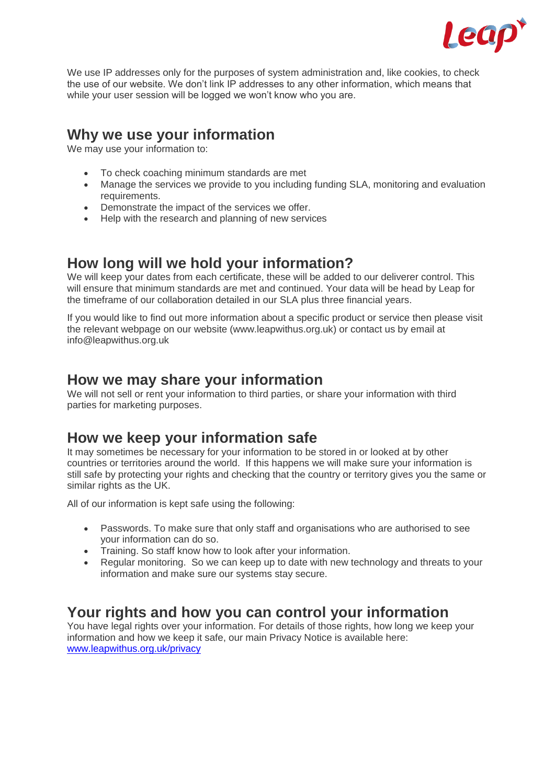

We use IP addresses only for the purposes of system administration and, like cookies, to check the use of our website. We don't link IP addresses to any other information, which means that while your user session will be logged we won't know who you are.

### **Why we use your information**

We may use your information to:

- To check coaching minimum standards are met
- Manage the services we provide to you including funding SLA, monitoring and evaluation requirements.
- Demonstrate the impact of the services we offer.
- Help with the research and planning of new services

### **How long will we hold your information?**

We will keep your dates from each certificate, these will be added to our deliverer control. This will ensure that minimum standards are met and continued. Your data will be head by Leap for the timeframe of our collaboration detailed in our SLA plus three financial years.

If you would like to find out more information about a specific product or service then please visit the relevant webpage on our website (www.leapwithus.org.uk) or contact us by email at info@leapwithus.org.uk

#### **How we may share your information**

We will not sell or rent your information to third parties, or share your information with third parties for marketing purposes.

### **How we keep your information safe**

It may sometimes be necessary for your information to be stored in or looked at by other countries or territories around the world. If this happens we will make sure your information is still safe by protecting your rights and checking that the country or territory gives you the same or similar rights as the UK.

All of our information is kept safe using the following:

- Passwords. To make sure that only staff and organisations who are authorised to see your information can do so.
- your information can up so.<br>• Training. So staff know how to look after your information.
- Regular monitoring. So we can keep up to date with new technology and threats to your information and make sure our systems stay secure.

## **Your rights and how you can control your information**

You have legal rights over your information. For details of those rights, how long we keep your information and how we keep it safe, our main Privacy Notice is available here: [www.leapwithus.org.uk/privacy](http://www.leapwithus.org.uk/privacy)